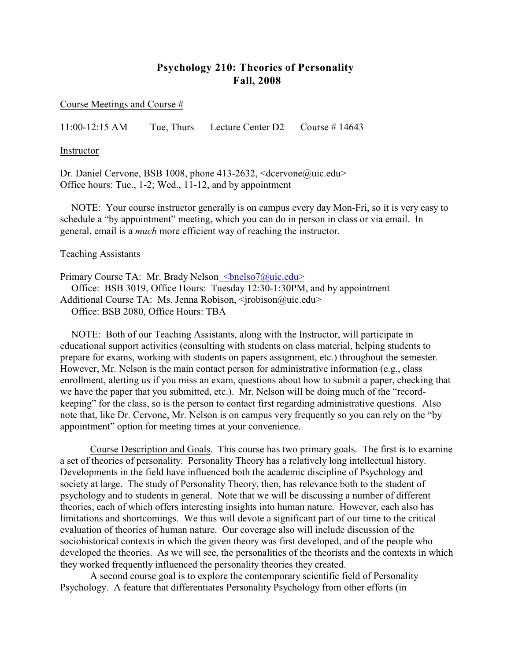# **Psychology 210: Theories of Personality Fall, 2008**

Course Meetings and Course #

11:00-12:15 AM Tue, Thurs Lecture Center D2 Course # 14643

Instructor

Dr. Daniel Cervone, BSB 1008, phone 413-2632, <dcervone@uic.edu> Office hours: Tue., 1-2; Wed., 11-12, and by appointment

NOTE: Your course instructor generally is on campus every day Mon-Fri, so it is very easy to schedule a "by appointment" meeting, which you can do in person in class or via email. In general, email is a *much* more efficient way of reaching the instructor.

#### Teaching Assistants

Primary Course TA: Mr. Brady Nelson <br/>bnelso7@uic.edu>

Office: BSB 3019, Office Hours: Tuesday 12:30-1:30PM, and by appointment Additional Course TA: Ms. Jenna Robison, <irobison@uic.edu> Office: BSB 2080, Office Hours: TBA

NOTE: Both of our Teaching Assistants, along with the Instructor, will participate in educational support activities (consulting with students on class material, helping students to prepare for exams, working with students on papers assignment, etc.) throughout the semester. However, Mr. Nelson is the main contact person for administrative information (e.g., class enrollment, alerting us if you miss an exam, questions about how to submit a paper, checking that we have the paper that you submitted, etc.). Mr. Nelson will be doing much of the "recordkeeping" for the class, so is the person to contact first regarding administrative questions. Also note that, like Dr. Cervone, Mr. Nelson is on campus very frequently so you can rely on the "by appointment" option for meeting times at your convenience.

Course Description and Goals. This course has two primary goals. The first is to examine a set of theories of personality. Personality Theory has a relatively long intellectual history. Developments in the field have influenced both the academic discipline of Psychology and society at large. The study of Personality Theory, then, has relevance both to the student of psychology and to students in general. Note that we will be discussing a number of different theories, each of which offers interesting insights into human nature. However, each also has limitations and shortcomings. We thus will devote a significant part of our time to the critical evaluation of theories of human nature. Our coverage also will include discussion of the sociohistorical contexts in which the given theory was first developed, and of the people who developed the theories. As we will see, the personalities of the theorists and the contexts in which they worked frequently influenced the personality theories they created.

A second course goal is to explore the contemporary scientific field of Personality Psychology. A feature that differentiates Personality Psychology from other efforts (in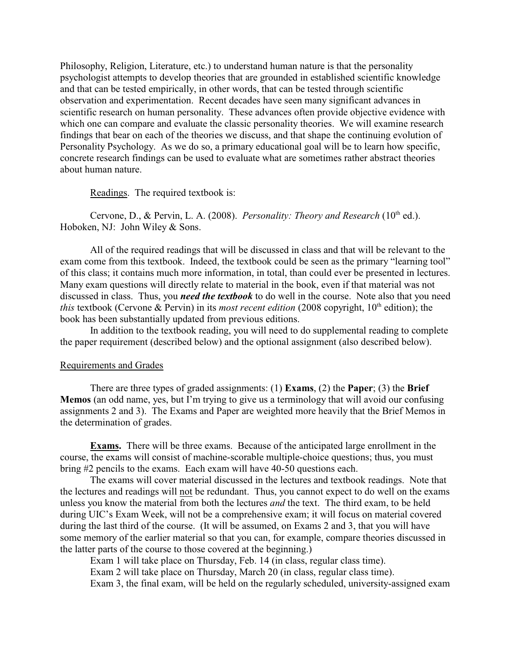Philosophy, Religion, Literature, etc.) to understand human nature is that the personality psychologist attempts to develop theories that are grounded in established scientific knowledge and that can be tested empirically, in other words, that can be tested through scientific observation and experimentation. Recent decades have seen many significant advances in scientific research on human personality. These advances often provide objective evidence with which one can compare and evaluate the classic personality theories. We will examine research findings that bear on each of the theories we discuss, and that shape the continuing evolution of Personality Psychology. As we do so, a primary educational goal will be to learn how specific, concrete research findings can be used to evaluate what are sometimes rather abstract theories about human nature.

Readings. The required textbook is:

Cervone, D., & Pervin, L. A. (2008). *Personality: Theory and Research* (10<sup>th</sup> ed.). Hoboken, NJ: John Wiley & Sons.

All of the required readings that will be discussed in class and that will be relevant to the exam come from this textbook. Indeed, the textbook could be seen as the primary "learning tool" of this class; it contains much more information, in total, than could ever be presented in lectures. Many exam questions will directly relate to material in the book, even if that material was not discussed in class. Thus, you *need the textbook* to do well in the course. Note also that you need *this* textbook (Cervone & Pervin) in its *most recent edition* (2008 copyright,  $10<sup>th</sup>$  edition); the book has been substantially updated from previous editions.

In addition to the textbook reading, you will need to do supplemental reading to complete the paper requirement (described below) and the optional assignment (also described below).

#### Requirements and Grades

There are three types of graded assignments: (1) **Exams**, (2) the **Paper**; (3) the **Brief Memos** (an odd name, yes, but I'm trying to give us a terminology that will avoid our confusing assignments 2 and 3). The Exams and Paper are weighted more heavily that the Brief Memos in the determination of grades.

**Exams.** There will be three exams. Because of the anticipated large enrollment in the course, the exams will consist of machine-scorable multiple-choice questions; thus, you must bring #2 pencils to the exams. Each exam will have 40-50 questions each.

The exams will cover material discussed in the lectures and textbook readings. Note that the lectures and readings will not be redundant. Thus, you cannot expect to do well on the exams unless you know the material from both the lectures *and* the text. The third exam, to be held during UIC's Exam Week, will not be a comprehensive exam; it will focus on material covered during the last third of the course. (It will be assumed, on Exams 2 and 3, that you will have some memory of the earlier material so that you can, for example, compare theories discussed in the latter parts of the course to those covered at the beginning.)

Exam 1 will take place on Thursday, Feb. 14 (in class, regular class time).

Exam 2 will take place on Thursday, March 20 (in class, regular class time).

Exam 3, the final exam, will be held on the regularly scheduled, university-assigned exam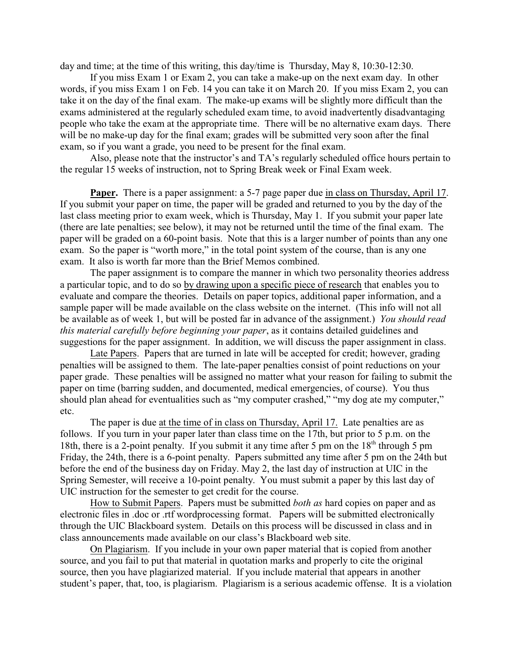day and time; at the time of this writing, this day/time is Thursday, May 8, 10:30-12:30.

If you miss Exam 1 or Exam 2, you can take a make-up on the next exam day. In other words, if you miss Exam 1 on Feb. 14 you can take it on March 20. If you miss Exam 2, you can take it on the day of the final exam. The make-up exams will be slightly more difficult than the exams administered at the regularly scheduled exam time, to avoid inadvertently disadvantaging people who take the exam at the appropriate time. There will be no alternative exam days. There will be no make-up day for the final exam; grades will be submitted very soon after the final exam, so if you want a grade, you need to be present for the final exam.

Also, please note that the instructor's and TA's regularly scheduled office hours pertain to the regular 15 weeks of instruction, not to Spring Break week or Final Exam week.

**Paper.** There is a paper assignment: a 5-7 page paper due in class on Thursday, April 17. If you submit your paper on time, the paper will be graded and returned to you by the day of the last class meeting prior to exam week, which is Thursday, May 1. If you submit your paper late (there are late penalties; see below), it may not be returned until the time of the final exam. The paper will be graded on a 60-point basis. Note that this is a larger number of points than any one exam. So the paper is "worth more," in the total point system of the course, than is any one exam. It also is worth far more than the Brief Memos combined.

The paper assignment is to compare the manner in which two personality theories address a particular topic, and to do so by drawing upon a specific piece of research that enables you to evaluate and compare the theories. Details on paper topics, additional paper information, and a sample paper will be made available on the class website on the internet. (This info will not all be available as of week 1, but will be posted far in advance of the assignment.) *You should read this material carefully before beginning your paper*, as it contains detailed guidelines and suggestions for the paper assignment. In addition, we will discuss the paper assignment in class.

Late Papers. Papers that are turned in late will be accepted for credit; however, grading penalties will be assigned to them. The late-paper penalties consist of point reductions on your paper grade. These penalties will be assigned no matter what your reason for failing to submit the paper on time (barring sudden, and documented, medical emergencies, of course). You thus should plan ahead for eventualities such as "my computer crashed," "my dog ate my computer," etc.

The paper is due at the time of in class on Thursday, April 17. Late penalties are as follows. If you turn in your paper later than class time on the 17th, but prior to 5 p.m. on the 18th, there is a 2-point penalty. If you submit it any time after 5 pm on the  $18<sup>th</sup>$  through 5 pm Friday, the 24th, there is a 6-point penalty. Papers submitted any time after 5 pm on the 24th but before the end of the business day on Friday. May 2, the last day of instruction at UIC in the Spring Semester, will receive a 10-point penalty. You must submit a paper by this last day of UIC instruction for the semester to get credit for the course.

How to Submit Papers. Papers must be submitted *both as* hard copies on paper and as electronic files in .doc or .rtf wordprocessing format. Papers will be submitted electronically through the UIC Blackboard system. Details on this process will be discussed in class and in class announcements made available on our class's Blackboard web site.

On Plagiarism. If you include in your own paper material that is copied from another source, and you fail to put that material in quotation marks and properly to cite the original source, then you have plagiarized material. If you include material that appears in another student's paper, that, too, is plagiarism. Plagiarism is a serious academic offense. It is a violation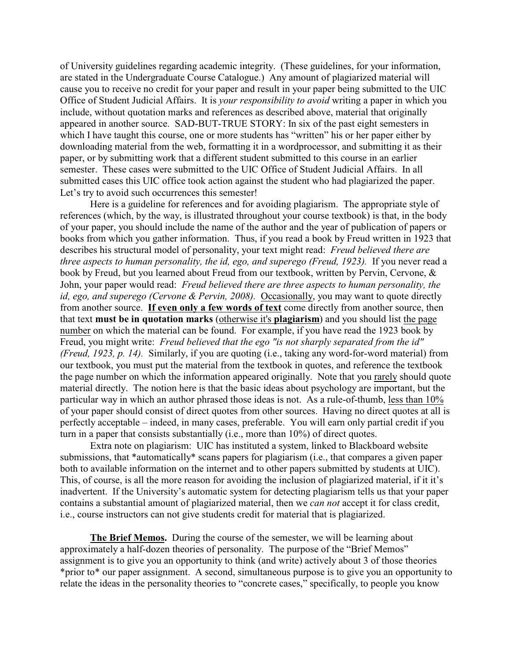of University guidelines regarding academic integrity. (These guidelines, for your information, are stated in the Undergraduate Course Catalogue.) Any amount of plagiarized material will cause you to receive no credit for your paper and result in your paper being submitted to the UIC Office of Student Judicial Affairs. It is *your responsibility to avoid* writing a paper in which you include, without quotation marks and references as described above, material that originally appeared in another source. SAD-BUT-TRUE STORY: In six of the past eight semesters in which I have taught this course, one or more students has "written" his or her paper either by downloading material from the web, formatting it in a wordprocessor, and submitting it as their paper, or by submitting work that a different student submitted to this course in an earlier semester. These cases were submitted to the UIC Office of Student Judicial Affairs. In all submitted cases this UIC office took action against the student who had plagiarized the paper. Let's try to avoid such occurrences this semester!

Here is a guideline for references and for avoiding plagiarism. The appropriate style of references (which, by the way, is illustrated throughout your course textbook) is that, in the body of your paper, you should include the name of the author and the year of publication of papers or books from which you gather information. Thus, if you read a book by Freud written in 1923 that describes his structural model of personality, your text might read: *Freud believed there are three aspects to human personality, the id, ego, and superego (Freud, 1923).* If you never read a book by Freud, but you learned about Freud from our textbook, written by Pervin, Cervone, & John, your paper would read: *Freud believed there are three aspects to human personality, the id, ego, and superego (Cervone & Pervin, 2008).* Occasionally, you may want to quote directly from another source. **If even only a few words of text** come directly from another source, then that text **must be in quotation marks** (otherwise it's **plagiarism**) and you should list the page number on which the material can be found. For example, if you have read the 1923 book by Freud, you might write: *Freud believed that the ego "is not sharply separated from the id" (Freud, 1923, p. 14).* Similarly, if you are quoting (i.e., taking any word-for-word material) from our textbook, you must put the material from the textbook in quotes, and reference the textbook the page number on which the information appeared originally. Note that you rarely should quote material directly. The notion here is that the basic ideas about psychology are important, but the particular way in which an author phrased those ideas is not. As a rule-of-thumb, less than 10% of your paper should consist of direct quotes from other sources. Having no direct quotes at all is perfectly acceptable – indeed, in many cases, preferable. You will earn only partial credit if you turn in a paper that consists substantially (i.e., more than 10%) of direct quotes.

Extra note on plagiarism: UIC has instituted a system, linked to Blackboard website submissions, that \*automatically\* scans papers for plagiarism (i.e., that compares a given paper both to available information on the internet and to other papers submitted by students at UIC). This, of course, is all the more reason for avoiding the inclusion of plagiarized material, if it it's inadvertent. If the University's automatic system for detecting plagiarism tells us that your paper contains a substantial amount of plagiarized material, then we *can not* accept it for class credit, i.e., course instructors can not give students credit for material that is plagiarized.

**The Brief Memos.** During the course of the semester, we will be learning about approximately a half-dozen theories of personality. The purpose of the "Brief Memos" assignment is to give you an opportunity to think (and write) actively about 3 of those theories \*prior to\* our paper assignment. A second, simultaneous purpose is to give you an opportunity to relate the ideas in the personality theories to "concrete cases," specifically, to people you know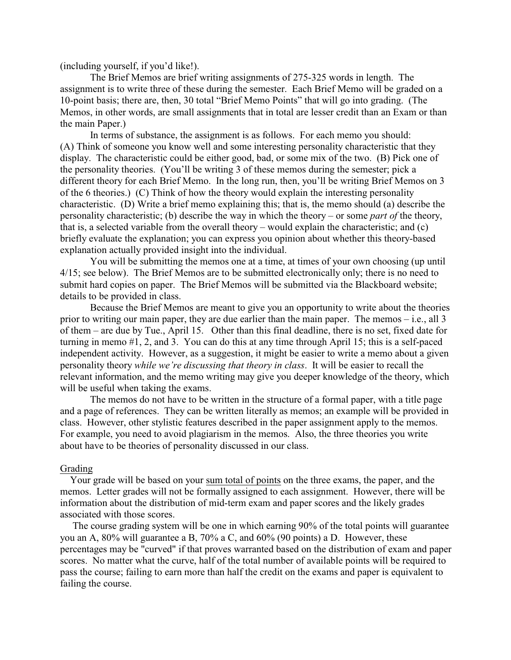(including yourself, if you'd like!).

The Brief Memos are brief writing assignments of 275-325 words in length. The assignment is to write three of these during the semester. Each Brief Memo will be graded on a 10-point basis; there are, then, 30 total "Brief Memo Points" that will go into grading. (The Memos, in other words, are small assignments that in total are lesser credit than an Exam or than the main Paper.)

In terms of substance, the assignment is as follows. For each memo you should: (A) Think of someone you know well and some interesting personality characteristic that they display. The characteristic could be either good, bad, or some mix of the two. (B) Pick one of the personality theories. (You'll be writing 3 of these memos during the semester; pick a different theory for each Brief Memo. In the long run, then, you'll be writing Brief Memos on 3 of the 6 theories.) (C) Think of how the theory would explain the interesting personality characteristic. (D) Write a brief memo explaining this; that is, the memo should (a) describe the personality characteristic; (b) describe the way in which the theory – or some *part of* the theory, that is, a selected variable from the overall theory – would explain the characteristic; and (c) briefly evaluate the explanation; you can express you opinion about whether this theory-based explanation actually provided insight into the individual.

You will be submitting the memos one at a time, at times of your own choosing (up until 4/15; see below). The Brief Memos are to be submitted electronically only; there is no need to submit hard copies on paper. The Brief Memos will be submitted via the Blackboard website; details to be provided in class.

Because the Brief Memos are meant to give you an opportunity to write about the theories prior to writing our main paper, they are due earlier than the main paper. The memos – i.e., all 3 of them – are due by Tue., April 15. Other than this final deadline, there is no set, fixed date for turning in memo #1, 2, and 3. You can do this at any time through April 15; this is a self-paced independent activity. However, as a suggestion, it might be easier to write a memo about a given personality theory *while we're discussing that theory in class*. It will be easier to recall the relevant information, and the memo writing may give you deeper knowledge of the theory, which will be useful when taking the exams.

The memos do not have to be written in the structure of a formal paper, with a title page and a page of references. They can be written literally as memos; an example will be provided in class. However, other stylistic features described in the paper assignment apply to the memos. For example, you need to avoid plagiarism in the memos. Also, the three theories you write about have to be theories of personality discussed in our class.

#### Grading

 Your grade will be based on your sum total of points on the three exams, the paper, and the memos. Letter grades will not be formally assigned to each assignment. However, there will be information about the distribution of mid-term exam and paper scores and the likely grades associated with those scores.

 The course grading system will be one in which earning 90% of the total points will guarantee you an A, 80% will guarantee a B, 70% a C, and 60% (90 points) a D. However, these percentages may be "curved" if that proves warranted based on the distribution of exam and paper scores. No matter what the curve, half of the total number of available points will be required to pass the course; failing to earn more than half the credit on the exams and paper is equivalent to failing the course.